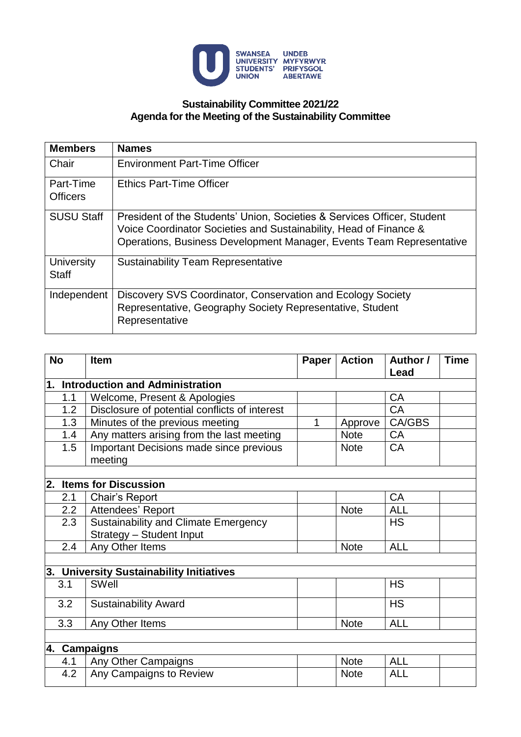

## **Sustainability Committee 2021/22 Agenda for the Meeting of the Sustainability Committee**

| <b>Members</b>               | <b>Names</b>                                                                                                                                                                                                         |  |  |  |  |  |
|------------------------------|----------------------------------------------------------------------------------------------------------------------------------------------------------------------------------------------------------------------|--|--|--|--|--|
| Chair                        | <b>Environment Part-Time Officer</b>                                                                                                                                                                                 |  |  |  |  |  |
| Part-Time<br><b>Officers</b> | <b>Ethics Part-Time Officer</b>                                                                                                                                                                                      |  |  |  |  |  |
| <b>SUSU Staff</b>            | President of the Students' Union, Societies & Services Officer, Student<br>Voice Coordinator Societies and Sustainability, Head of Finance &<br>Operations, Business Development Manager, Events Team Representative |  |  |  |  |  |
| University<br><b>Staff</b>   | <b>Sustainability Team Representative</b>                                                                                                                                                                            |  |  |  |  |  |
| Independent                  | Discovery SVS Coordinator, Conservation and Ecology Society<br>Representative, Geography Society Representative, Student<br>Representative                                                                           |  |  |  |  |  |

| <b>No</b>    | <b>Item</b>                                        |   | <b>Action</b> | Author /<br>Lead | <b>Time</b> |
|--------------|----------------------------------------------------|---|---------------|------------------|-------------|
|              | 1. Introduction and Administration                 |   |               |                  |             |
| 1.1          | Welcome, Present & Apologies                       |   |               | <b>CA</b>        |             |
| 1.2          | Disclosure of potential conflicts of interest      |   |               | <b>CA</b>        |             |
| 1.3          | Minutes of the previous meeting                    | 1 | Approve       | CA/GBS           |             |
| 1.4          | Any matters arising from the last meeting          |   | <b>Note</b>   | <b>CA</b>        |             |
| 1.5          | Important Decisions made since previous<br>meeting |   | <b>Note</b>   | <b>CA</b>        |             |
|              |                                                    |   |               |                  |             |
|              | 2. Items for Discussion                            |   |               |                  |             |
| 2.1          | Chair's Report                                     |   |               | <b>CA</b>        |             |
| 2.2          | Attendees' Report                                  |   | <b>Note</b>   | <b>ALL</b>       |             |
| 2.3          | <b>Sustainability and Climate Emergency</b>        |   |               | <b>HS</b>        |             |
|              | Strategy - Student Input                           |   |               |                  |             |
| 2.4          | Any Other Items                                    |   | <b>Note</b>   | <b>ALL</b>       |             |
|              |                                                    |   |               |                  |             |
|              | 3. University Sustainability Initiatives           |   |               |                  |             |
| 3.1          | <b>SWell</b>                                       |   |               | <b>HS</b>        |             |
| 3.2          | <b>Sustainability Award</b>                        |   |               | <b>HS</b>        |             |
| 3.3          | Any Other Items                                    |   | <b>Note</b>   | <b>ALL</b>       |             |
| 4. Campaigns |                                                    |   |               |                  |             |
| 4.1          | Any Other Campaigns                                |   | <b>Note</b>   | <b>ALL</b>       |             |
| 4.2          | Any Campaigns to Review                            |   | <b>Note</b>   | <b>ALL</b>       |             |